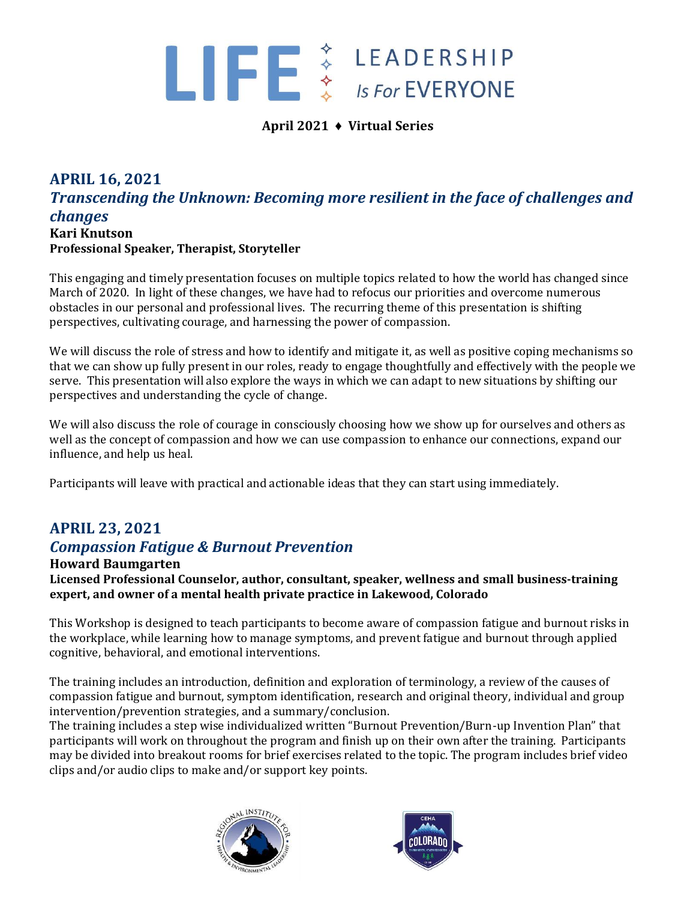## $\blacksquare$   $\blacksquare$   $\uparrow$   $\uparrow$   $\downarrow$   $\downarrow$   $\downarrow$   $\downarrow$   $\downarrow$   $\downarrow$   $\downarrow$   $\downarrow$   $\downarrow$   $\downarrow$   $\downarrow$   $\downarrow$   $\downarrow$   $\downarrow$   $\downarrow$   $\downarrow$   $\downarrow$   $\downarrow$   $\downarrow$   $\downarrow$   $\downarrow$   $\downarrow$   $\downarrow$   $\downarrow$   $\downarrow$   $\downarrow$   $\downarrow$   $\downarrow$   $\downarrow$   $\downarrow$   $\downarrow$   $\downarrow$   $\down$

#### **April 2021 ♦ Virtual Series**

## **APRIL 16, 2021** *Transcending the Unknown: Becoming more resilient in the face of challenges and changes* **Kari Knutson**

**Professional Speaker, Therapist, Storyteller**

This engaging and timely presentation focuses on multiple topics related to how the world has changed since March of 2020. In light of these changes, we have had to refocus our priorities and overcome numerous obstacles in our personal and professional lives. The recurring theme of this presentation is shifting perspectives, cultivating courage, and harnessing the power of compassion.

We will discuss the role of stress and how to identify and mitigate it, as well as positive coping mechanisms so that we can show up fully present in our roles, ready to engage thoughtfully and effectively with the people we serve. This presentation will also explore the ways in which we can adapt to new situations by shifting our perspectives and understanding the cycle of change.

We will also discuss the role of courage in consciously choosing how we show up for ourselves and others as well as the concept of compassion and how we can use compassion to enhance our connections, expand our influence, and help us heal.

Participants will leave with practical and actionable ideas that they can start using immediately.

## **APRIL 23, 2021** *Compassion Fatigue & Burnout Prevention*

**Howard Baumgarten**

**Licensed Professional Counselor, author, consultant, speaker, wellness and small business-training expert, and owner of a mental health private practice in Lakewood, Colorado**

This Workshop is designed to teach participants to become aware of compassion fatigue and burnout risks in the workplace, while learning how to manage symptoms, and prevent fatigue and burnout through applied cognitive, behavioral, and emotional interventions.

The training includes an introduction, definition and exploration of terminology, a review of the causes of compassion fatigue and burnout, symptom identification, research and original theory, individual and group intervention/prevention strategies, and a summary/conclusion.

The training includes a step wise individualized written "Burnout Prevention/Burn-up Invention Plan" that participants will work on throughout the program and finish up on their own after the training. Participants may be divided into breakout rooms for brief exercises related to the topic. The program includes brief video clips and/or audio clips to make and/or support key points.